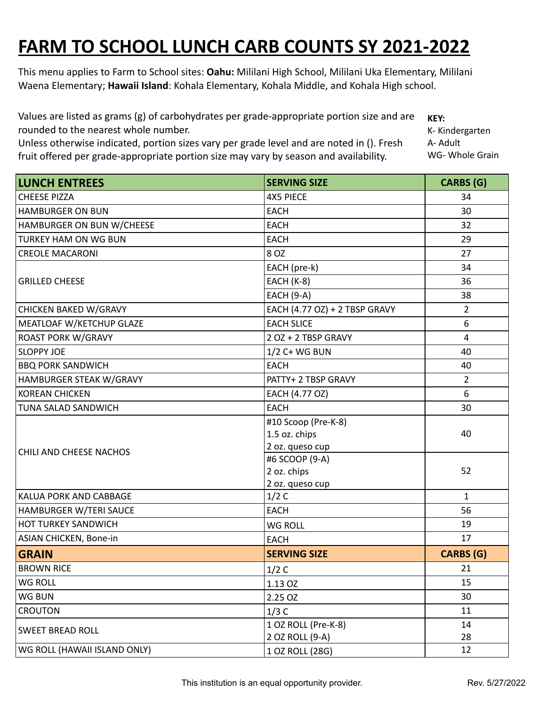## **FARM TO SCHOOL LUNCH CARB COUNTS SY 2021-2022**

This menu applies to Farm to School sites: **Oahu:** Mililani High School, Mililani Uka Elementary, Mililani Waena Elementary; **Hawaii Island**: Kohala Elementary, Kohala Middle, and Kohala High school.

Values are listed as grams (g) of carbohydrates per grade-appropriate portion size and are rounded to the nearest whole number. **KEY:**

Unless otherwise indicated, portion sizes vary per grade level and are noted in (). Fresh fruit offered per grade-appropriate portion size may vary by season and availability.

K- Kindergarten A- Adult WG- Whole Grain

| <b>LUNCH ENTREES</b>         | <b>SERVING SIZE</b>                    | <b>CARBS (G)</b> |
|------------------------------|----------------------------------------|------------------|
| <b>CHEESE PIZZA</b>          | <b>4X5 PIECE</b>                       | 34               |
| <b>HAMBURGER ON BUN</b>      | <b>EACH</b>                            | 30               |
| HAMBURGER ON BUN W/CHEESE    | <b>EACH</b>                            | 32               |
| <b>TURKEY HAM ON WG BUN</b>  | <b>EACH</b>                            | 29               |
| <b>CREOLE MACARONI</b>       | 8 OZ                                   | 27               |
| <b>GRILLED CHEESE</b>        | EACH (pre-k)                           | 34               |
|                              | <b>EACH (K-8)</b>                      | 36               |
|                              | <b>EACH (9-A)</b>                      | 38               |
| <b>CHICKEN BAKED W/GRAVY</b> | EACH (4.77 OZ) + 2 TBSP GRAVY          | $\overline{2}$   |
| MEATLOAF W/KETCHUP GLAZE     | <b>EACH SLICE</b>                      | 6                |
| <b>ROAST PORK W/GRAVY</b>    | 2 OZ + 2 TBSP GRAVY                    | $\overline{4}$   |
| <b>SLOPPY JOE</b>            | 1/2 C+ WG BUN                          | 40               |
| <b>BBQ PORK SANDWICH</b>     | <b>EACH</b>                            | 40               |
| HAMBURGER STEAK W/GRAVY      | PATTY+ 2 TBSP GRAVY                    | $\overline{2}$   |
| <b>KOREAN CHICKEN</b>        | EACH (4.77 OZ)                         | 6                |
| TUNA SALAD SANDWICH          | <b>EACH</b>                            | 30               |
|                              | #10 Scoop (Pre-K-8)                    |                  |
|                              | 1.5 oz. chips                          | 40               |
| CHILI AND CHEESE NACHOS      | 2 oz. queso cup                        |                  |
|                              | #6 SCOOP (9-A)                         |                  |
|                              | 2 oz. chips<br>2 oz. queso cup         | 52               |
| KALUA PORK AND CABBAGE       | 1/2C                                   | $\mathbf{1}$     |
| HAMBURGER W/TERI SAUCE       | <b>EACH</b>                            | 56               |
| <b>HOT TURKEY SANDWICH</b>   | <b>WG ROLL</b>                         | 19               |
| ASIAN CHICKEN, Bone-in       | <b>EACH</b>                            | 17               |
| <b>GRAIN</b>                 | <b>SERVING SIZE</b>                    | <b>CARBS (G)</b> |
|                              |                                        |                  |
| <b>BROWN RICE</b>            | 1/2C                                   | 21               |
| WG ROLL                      | 1.13 OZ                                | 15               |
| WG BUN                       | 2.25 OZ                                | 30               |
| <b>CROUTON</b>               | 1/3C                                   | 11               |
| <b>SWEET BREAD ROLL</b>      | 1 OZ ROLL (Pre-K-8)<br>2 OZ ROLL (9-A) | 14<br>28         |
| WG ROLL (HAWAII ISLAND ONLY) | 1 OZ ROLL (28G)                        | 12               |
|                              |                                        |                  |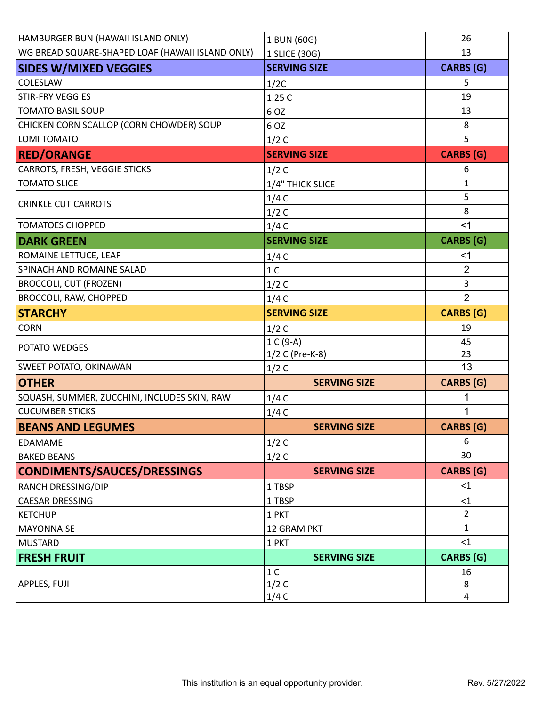| HAMBURGER BUN (HAWAII ISLAND ONLY)               | 1 BUN (60G)         | 26               |
|--------------------------------------------------|---------------------|------------------|
| WG BREAD SQUARE-SHAPED LOAF (HAWAII ISLAND ONLY) | 1 SLICE (30G)       | 13               |
| <b>SIDES W/MIXED VEGGIES</b>                     | <b>SERVING SIZE</b> | <b>CARBS (G)</b> |
| <b>COLESLAW</b>                                  | 1/2C                | 5                |
| <b>STIR-FRY VEGGIES</b>                          | 1.25 C              | 19               |
| <b>TOMATO BASIL SOUP</b>                         | 6 OZ                | 13               |
| CHICKEN CORN SCALLOP (CORN CHOWDER) SOUP         | 6 OZ                | 8                |
| LOMI TOMATO                                      | 1/2C                | 5                |
| <b>RED/ORANGE</b>                                | <b>SERVING SIZE</b> | <b>CARBS (G)</b> |
| <b>CARROTS, FRESH, VEGGIE STICKS</b>             | 1/2C                | 6                |
| <b>TOMATO SLICE</b>                              | 1/4" THICK SLICE    | 1                |
| <b>CRINKLE CUT CARROTS</b>                       | 1/4C                | 5                |
|                                                  | 1/2C                | 8                |
| <b>TOMATOES CHOPPED</b>                          | 1/4C                | $<$ 1            |
| <b>DARK GREEN</b>                                | <b>SERVING SIZE</b> | <b>CARBS (G)</b> |
| ROMAINE LETTUCE, LEAF                            | 1/4C                | <1               |
| SPINACH AND ROMAINE SALAD                        | 1 <sup>C</sup>      | $\overline{2}$   |
| <b>BROCCOLI, CUT (FROZEN)</b>                    | 1/2C                | 3                |
| <b>BROCCOLI, RAW, CHOPPED</b>                    | 1/4C                | $\overline{2}$   |
| <b>STARCHY</b>                                   | <b>SERVING SIZE</b> | <b>CARBS (G)</b> |
| <b>CORN</b>                                      | 1/2C                | 19               |
| <b>POTATO WEDGES</b>                             | 1 C (9-A)           | 45               |
|                                                  | 1/2 C (Pre-K-8)     | 23               |
| SWEET POTATO, OKINAWAN                           | 1/2C                | 13               |
| <b>OTHER</b>                                     | <b>SERVING SIZE</b> | <b>CARBS (G)</b> |
| SQUASH, SUMMER, ZUCCHINI, INCLUDES SKIN, RAW     | 1/4C                | 1                |
| <b>CUCUMBER STICKS</b>                           | 1/4C                | 1                |
| <b>BEANS AND LEGUMES</b>                         | <b>SERVING SIZE</b> | <b>CARBS</b> (G) |
| <b>EDAMAME</b>                                   | 1/2C                | 6                |
| <b>BAKED BEANS</b>                               | 1/2C                | 30               |
| CONDIMENTS/SAUCES/DRESSINGS                      | <b>SERVING SIZE</b> | <b>CARBS (G)</b> |
| <b>RANCH DRESSING/DIP</b>                        | 1 TBSP              | $\leq$ 1         |
| <b>CAESAR DRESSING</b>                           | 1 TBSP              | <1               |
| <b>KETCHUP</b>                                   | 1 PKT               | 2                |
| <b>MAYONNAISE</b>                                | 12 GRAM PKT         | $\mathbf{1}$     |
| MUSTARD                                          | 1 PKT               | <1               |
| <b>FRESH FRUIT</b>                               | <b>SERVING SIZE</b> | CARBS (G)        |
|                                                  | 1 <sup>C</sup>      | 16               |
| <b>APPLES, FUJI</b>                              | 1/2C                | 8                |
|                                                  | 1/4C                | 4                |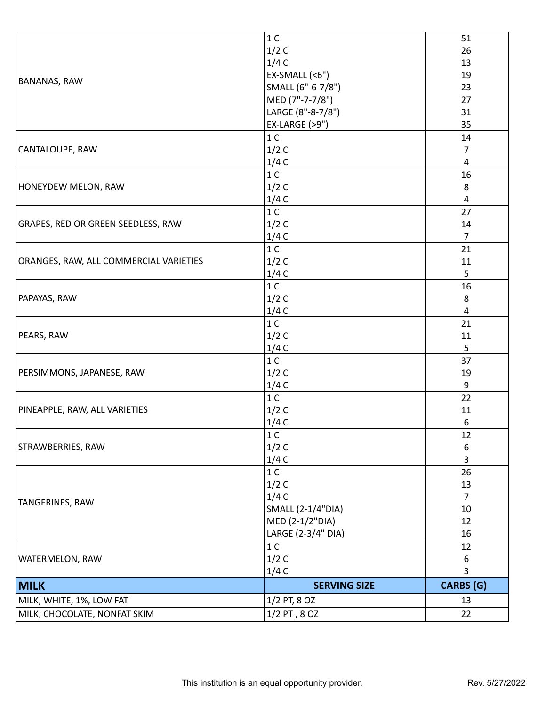|                                        | 1 <sup>C</sup>           | 51                      |
|----------------------------------------|--------------------------|-------------------------|
| <b>BANANAS, RAW</b>                    | 1/2C                     | 26                      |
|                                        | 1/4C                     | 13                      |
|                                        | $EX-SMALL$ (<6")         | 19                      |
|                                        | SMALL (6"-6-7/8")        | 23                      |
|                                        | MED (7"-7-7/8")          | 27                      |
|                                        | LARGE (8"-8-7/8")        | 31                      |
|                                        | EX-LARGE (>9")           | 35                      |
|                                        | 1 <sup>C</sup>           | 14                      |
| CANTALOUPE, RAW                        | 1/2C                     | 7                       |
| <b>HONEYDEW MELON, RAW</b>             | 1/4C                     | $\overline{\mathbf{4}}$ |
|                                        | 1 <sup>C</sup>           | 16                      |
|                                        | 1/2C                     | 8                       |
|                                        | 1/4C                     | 4                       |
|                                        | 1 <sup>C</sup>           | 27                      |
| GRAPES, RED OR GREEN SEEDLESS, RAW     | 1/2C                     | 14                      |
|                                        | 1/4C                     | $\overline{7}$          |
|                                        | 1 <sup>C</sup>           | 21                      |
| ORANGES, RAW, ALL COMMERCIAL VARIETIES | 1/2C                     | 11                      |
|                                        | 1/4C                     | 5                       |
|                                        | 1 <sup>C</sup>           | 16                      |
| PAPAYAS, RAW                           | 1/2C                     | $\,8\,$                 |
|                                        | 1/4C                     | 4                       |
|                                        | 1 <sup>C</sup>           | 21                      |
| PEARS, RAW                             | 1/2C                     | 11                      |
|                                        | 1/4C                     | 5                       |
|                                        | 1 <sup>C</sup>           | 37                      |
| PERSIMMONS, JAPANESE, RAW              | 1/2C                     | 19                      |
| PINEAPPLE, RAW, ALL VARIETIES          | 1/4C                     | 9                       |
|                                        | 1 <sup>C</sup>           | 22                      |
|                                        | 1/2C                     | 11                      |
| STRAWBERRIES, RAW                      | 1/4C                     | 6                       |
|                                        | $1C$                     | 12                      |
|                                        | 1/2C                     | 6                       |
| TANGERINES, RAW                        | 1/4C                     | 3                       |
|                                        | 1 <sup>C</sup>           | 26                      |
|                                        | 1/2C                     | 13                      |
|                                        | 1/4C                     | $\overline{7}$          |
|                                        | <b>SMALL (2-1/4"DIA)</b> | 10                      |
|                                        | MED (2-1/2"DIA)          | 12                      |
| WATERMELON, RAW                        | LARGE (2-3/4" DIA)       | 16                      |
|                                        | 1 <sup>C</sup>           | 12                      |
|                                        | 1/2C                     | 6                       |
|                                        | 1/4C                     | 3                       |
| <b>MILK</b>                            | <b>SERVING SIZE</b>      | <b>CARBS (G)</b>        |
| MILK, WHITE, 1%, LOW FAT               | 1/2 PT, 8 OZ             | 13                      |
| MILK, CHOCOLATE, NONFAT SKIM           | $1/2$ PT, $8$ OZ         | 22                      |